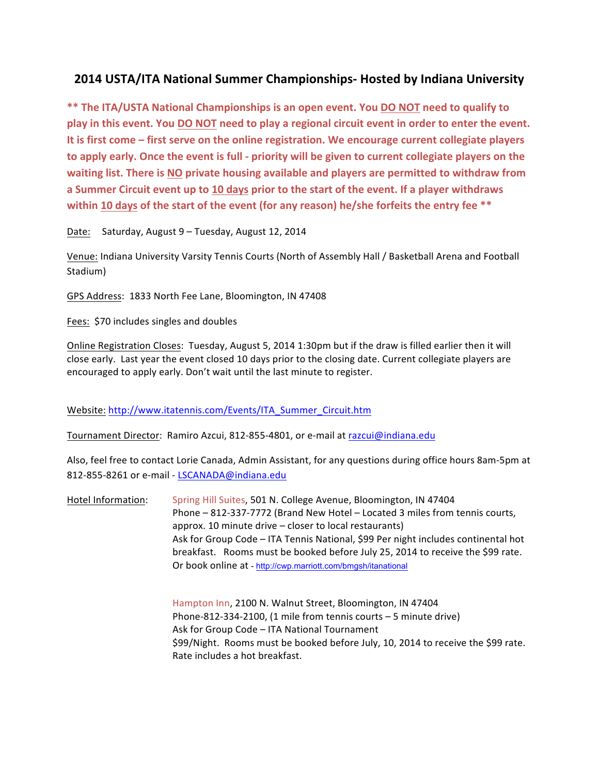## **2014 USTA/ITA National Summer Championships- Hosted by Indiana University**

\*\* The ITA/USTA National Championships is an open event. You DO NOT need to qualify to play in this event. You **DO NOT** need to play a regional circuit event in order to enter the event. It is first come – first serve on the online registration. We encourage current collegiate players to apply early. Once the event is full - priority will be given to current collegiate players on the waiting list. There is NO private housing available and players are permitted to withdraw from **a Summer Circuit event up to 10 days prior to the start of the event. If a player withdraws within 10 days of the start of the event (for any reason) he/she forfeits the entry fee \*\*** 

Date: Saturday, August 9 – Tuesday, August 12, 2014

Venue: Indiana University Varsity Tennis Courts (North of Assembly Hall / Basketball Arena and Football Stadium)

GPS Address: 1833 North Fee Lane, Bloomington, IN 47408

Fees: \$70 includes singles and doubles

Online Registration Closes: Tuesday, August 5, 2014 1:30pm but if the draw is filled earlier then it will close early. Last year the event closed 10 days prior to the closing date. Current collegiate players are encouraged to apply early. Don't wait until the last minute to register.

Website: http://www.itatennis.com/Events/ITA\_Summer\_Circuit.htm

Tournament Director: Ramiro Azcui, 812-855-4801, or e-mail at razcui@indiana.edu

Also, feel free to contact Lorie Canada, Admin Assistant, for any questions during office hours 8am-5pm at 812-855-8261 or e-mail - LSCANADA@indiana.edu

Hotel Information: Spring Hill Suites, 501 N. College Avenue, Bloomington, IN 47404 Phone - 812-337-7772 (Brand New Hotel - Located 3 miles from tennis courts, approx. 10 minute drive  $-$  closer to local restaurants) Ask for Group Code - ITA Tennis National, \$99 Per night includes continental hot breakfast. Rooms must be booked before July 25, 2014 to receive the \$99 rate. Or book online at - http://cwp.marriott.com/bmgsh/itanational

> Hampton Inn, 2100 N. Walnut Street, Bloomington, IN 47404 Phone-812-334-2100, (1 mile from tennis courts  $-5$  minute drive) Ask for Group Code - ITA National Tournament \$99/Night. Rooms must be booked before July, 10, 2014 to receive the \$99 rate. Rate includes a hot breakfast.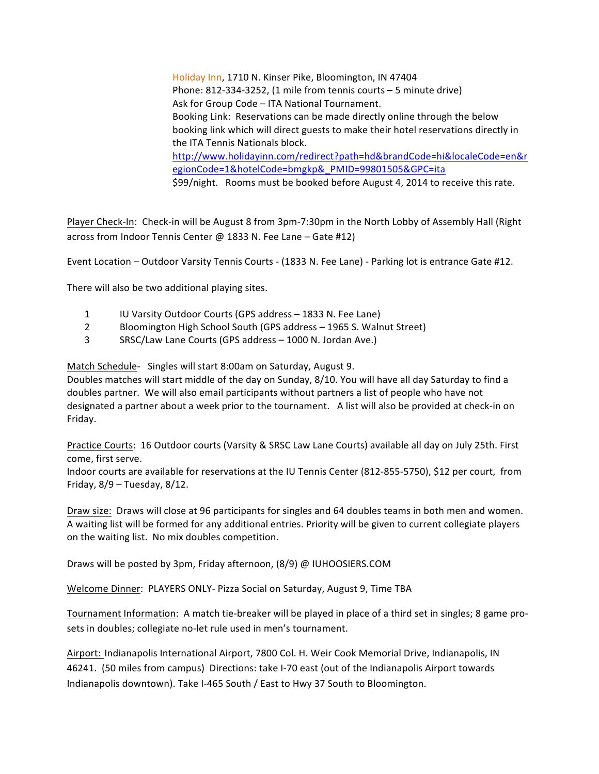Holiday Inn, 1710 N. Kinser Pike, Bloomington, IN 47404 Phone:  $812-334-3252$ , (1 mile from tennis courts  $-5$  minute drive) Ask for Group Code - ITA National Tournament. Booking Link: Reservations can be made directly online through the below booking link which will direct guests to make their hotel reservations directly in the ITA Tennis Nationals block. http://www.holidayinn.com/redirect?path=hd&brandCode=hi&localeCode=en&r egionCode=1&hotelCode=bmgkp&\_PMID=99801505&GPC=ita \$99/night. Rooms must be booked before August 4, 2014 to receive this rate.

Player Check-In: Check-in will be August 8 from 3pm-7:30pm in the North Lobby of Assembly Hall (Right across from Indoor Tennis Center @ 1833 N. Fee Lane – Gate #12)

Event Location – Outdoor Varsity Tennis Courts - (1833 N. Fee Lane) - Parking lot is entrance Gate #12.

There will also be two additional playing sites.

- 1 IU Varsity Outdoor Courts (GPS address 1833 N. Fee Lane)
- 2 Bloomington High School South (GPS address 1965 S. Walnut Street)
- 3 SRSC/Law Lane Courts (GPS address 1000 N. Jordan Ave.)

Match Schedule- Singles will start 8:00am on Saturday, August 9.

Doubles matches will start middle of the day on Sunday, 8/10. You will have all day Saturday to find a doubles partner. We will also email participants without partners a list of people who have not designated a partner about a week prior to the tournament. A list will also be provided at check-in on Friday.

Practice Courts: 16 Outdoor courts (Varsity & SRSC Law Lane Courts) available all day on July 25th. First come, first serve.

Indoor courts are available for reservations at the IU Tennis Center (812-855-5750), \$12 per court, from Friday,  $8/9$  – Tuesday,  $8/12$ .

Draw size: Draws will close at 96 participants for singles and 64 doubles teams in both men and women. A waiting list will be formed for any additional entries. Priority will be given to current collegiate players on the waiting list. No mix doubles competition.

Draws will be posted by 3pm, Friday afternoon, (8/9) @ IUHOOSIERS.COM

Welcome Dinner: PLAYERS ONLY- Pizza Social on Saturday, August 9, Time TBA

Tournament Information: A match tie-breaker will be played in place of a third set in singles; 8 game prosets in doubles; collegiate no-let rule used in men's tournament.

Airport: Indianapolis International Airport, 7800 Col. H. Weir Cook Memorial Drive, Indianapolis, IN 46241. (50 miles from campus) Directions: take I-70 east (out of the Indianapolis Airport towards Indianapolis downtown). Take I-465 South / East to Hwy 37 South to Bloomington.